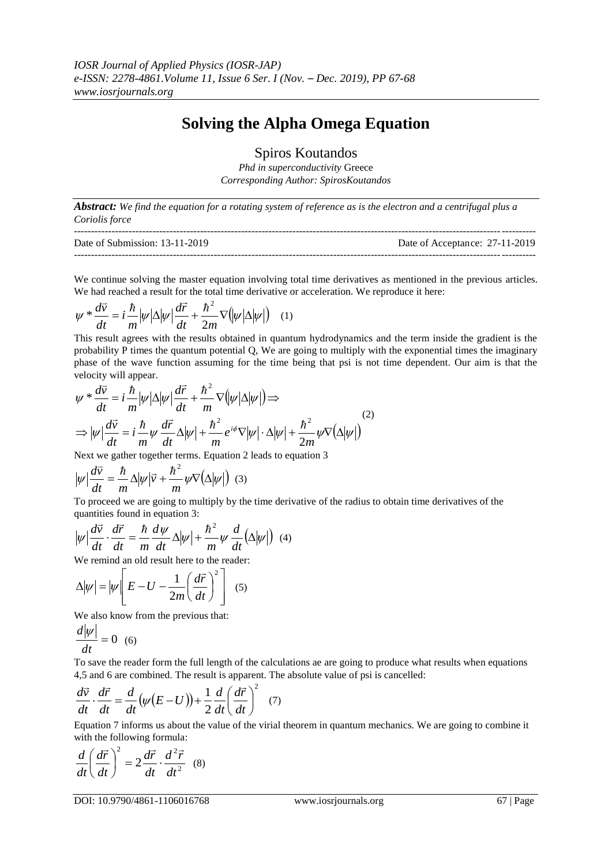## **Solving the Alpha Omega Equation**

Spiros Koutandos

*Phd in superconductivity* Greece *Corresponding Author: SpirosKoutandos*

*Abstract: We find the equation for a rotating system of reference as is the electron and a centrifugal plus a Coriolis force*

| Date of Submission: 13-11-2019 | Date of Acceptance: 27-11-2019 |
|--------------------------------|--------------------------------|
|                                |                                |

We continue solving the master equation involving total time derivatives as mentioned in the previous articles. We had reached a result for the total time derivative or acceleration. We reproduce it here:

$$
\psi * \frac{d\vec{v}}{dt} = i \frac{\hbar}{m} |\psi| \Delta |\psi| \frac{d\vec{r}}{dt} + \frac{\hbar^2}{2m} \nabla (|\psi| \Delta |\psi|) \quad (1)
$$

This result agrees with the results obtained in quantum hydrodynamics and the term inside the gradient is the probability P times the quantum potential Q, We are going to multiply with the exponential times the imaginary phase of the wave function assuming for the time being that psi is not time dependent. Our aim is that the velocity will appear.  $\rightarrow$ 

$$
\psi * \frac{d\vec{v}}{dt} = i \frac{\hbar}{m} |\psi| \Delta |\psi| \frac{d\vec{r}}{dt} + \frac{\hbar^2}{m} \nabla (|\psi| \Delta |\psi|) \Rightarrow
$$
  
\n
$$
\Rightarrow |\psi| \frac{d\vec{v}}{dt} = i \frac{\hbar}{m} \psi \frac{d\vec{r}}{dt} \Delta |\psi| + \frac{\hbar^2}{m} e^{i\phi} \nabla |\psi| \cdot \Delta |\psi| + \frac{\hbar^2}{2m} \psi \nabla (\Delta |\psi|)
$$
\n(2)

Next we gather together terms. Equation 2 leads to equation 3

$$
|\psi| \frac{d\vec{v}}{dt} = \frac{\hbar}{m} \Delta |\psi| \vec{v} + \frac{\hbar^2}{m} \psi \nabla (\Delta |\psi|) \quad (3)
$$

To proceed we are going to multiply by the time derivative of the radius to obtain time derivatives of the quantities found in equation 3:<br> $\vec{r} = \vec{r} + \vec{k}$ 

$$
|\psi| \frac{d\vec{v}}{dt} \cdot \frac{d\vec{r}}{dt} = \frac{\hbar}{m} \frac{d\psi}{dt} \Delta |\psi| + \frac{\hbar^2}{m} \psi \frac{d}{dt} (\Delta |\psi|) \tag{4}
$$

We remind an old result here to the reader:

$$
\Delta |\psi| = |\psi| \left[ E - U - \frac{1}{2m} \left( \frac{d\vec{r}}{dt} \right)^2 \right] \quad (5)
$$

We also know from the previous that:

$$
\frac{d|\psi|}{dt} = 0 \quad (6)
$$

To save the reader form the full length of the calculations ae are going to produce what results when equations 4,5 and 6 are combined. The result is apparent. The absolute value of psi is cancelled:

$$
\frac{d\vec{v}}{dt} \cdot \frac{d\vec{r}}{dt} = \frac{d}{dt}(\psi(E-U)) + \frac{1}{2}\frac{d}{dt}\left(\frac{d\vec{r}}{dt}\right)^2 \quad (7)
$$

Equation 7 informs us about the value of the virial theorem in quantum mechanics. We are going to combine it with the following formula:

$$
\frac{d}{dt}\left(\frac{d\vec{r}}{dt}\right)^{2} = 2\frac{d\vec{r}}{dt} \cdot \frac{d^{2}\vec{r}}{dt^{2}} \quad (8)
$$

DOI: 10.9790/4861-1106016768 www.iosrjournals.org 67 | Page